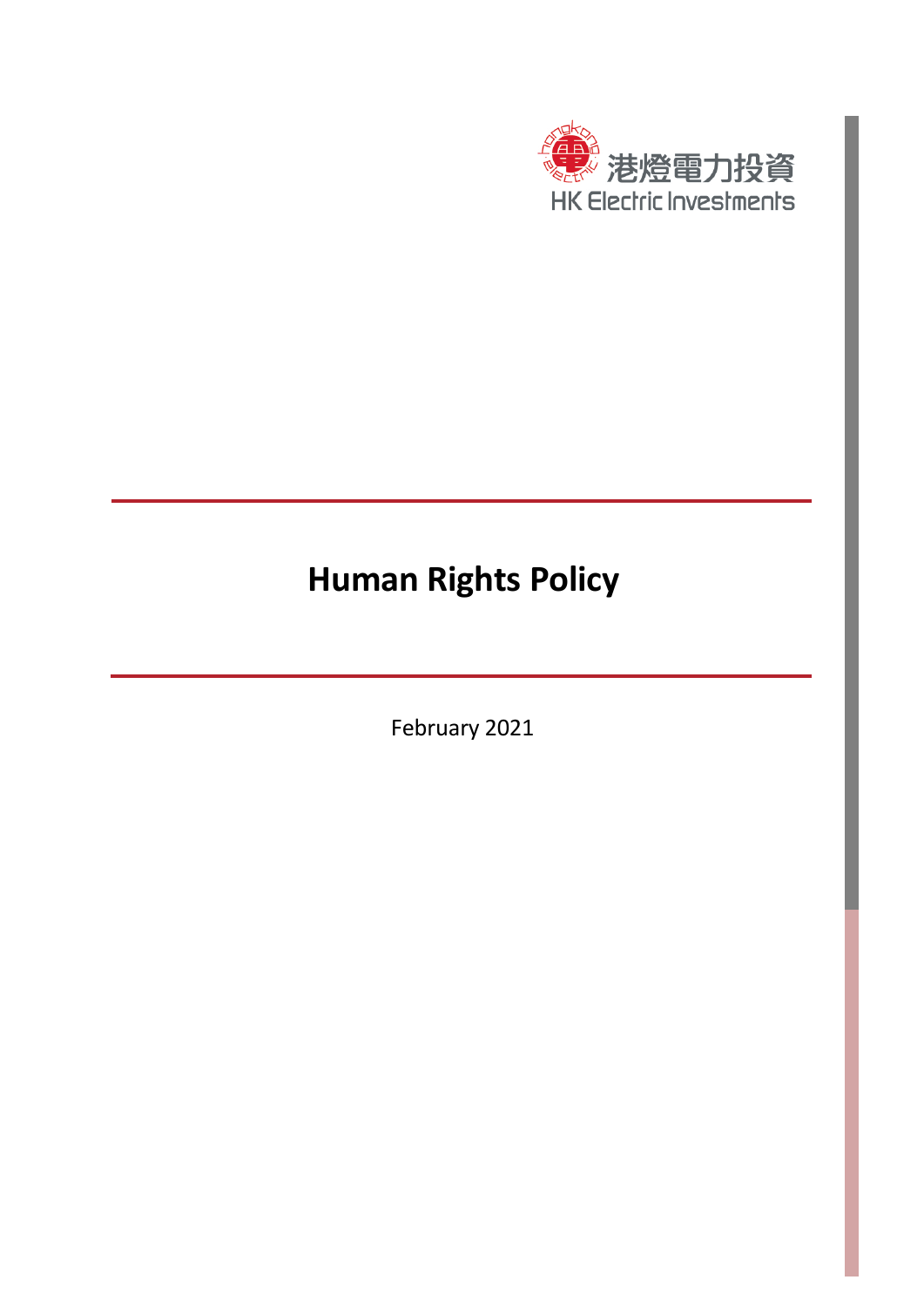

# **Human Rights Policy**

February 2021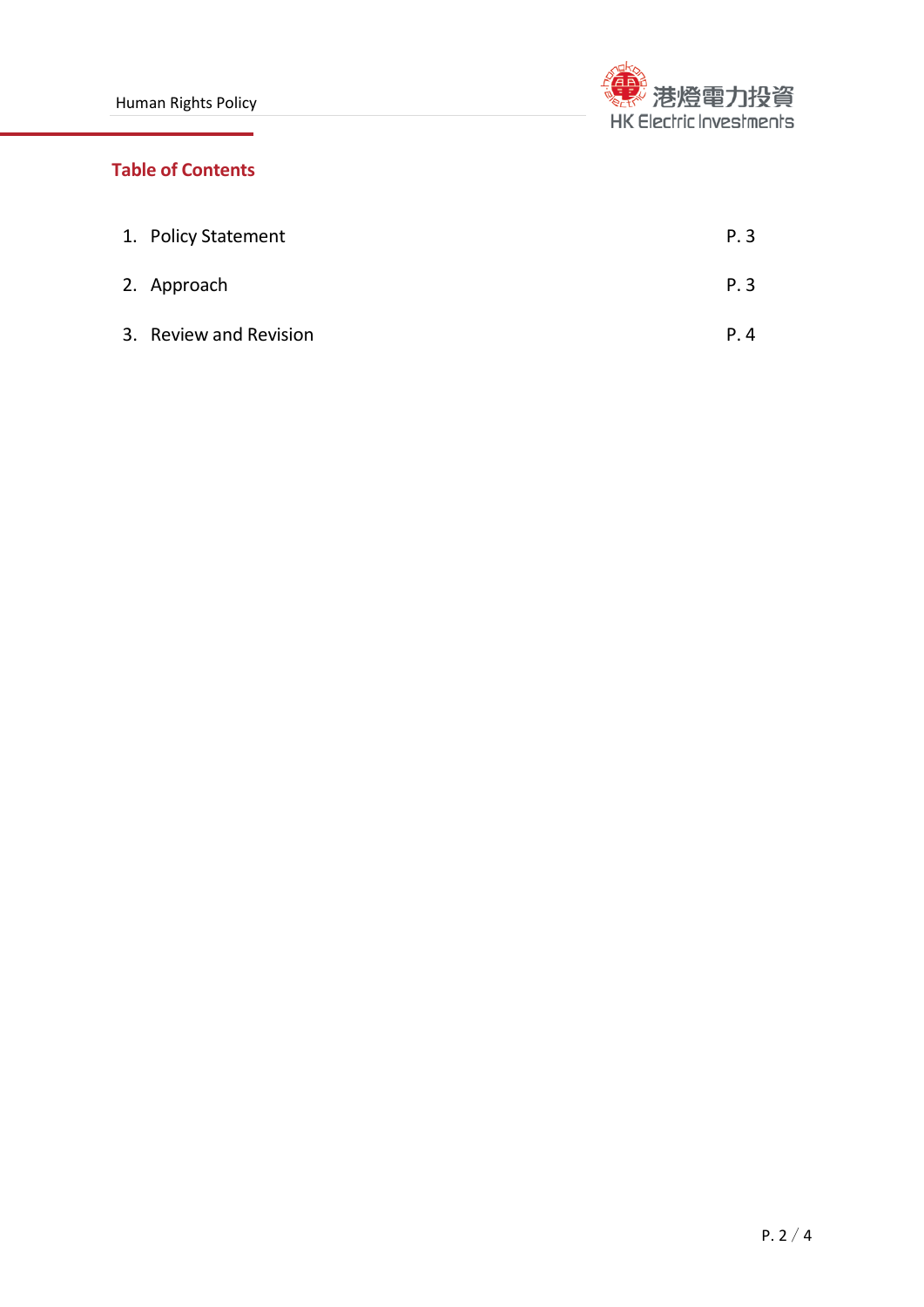

# **Table of Contents**

| 1. Policy Statement    | P.3 |
|------------------------|-----|
| 2. Approach            | P.3 |
| 3. Review and Revision | P.4 |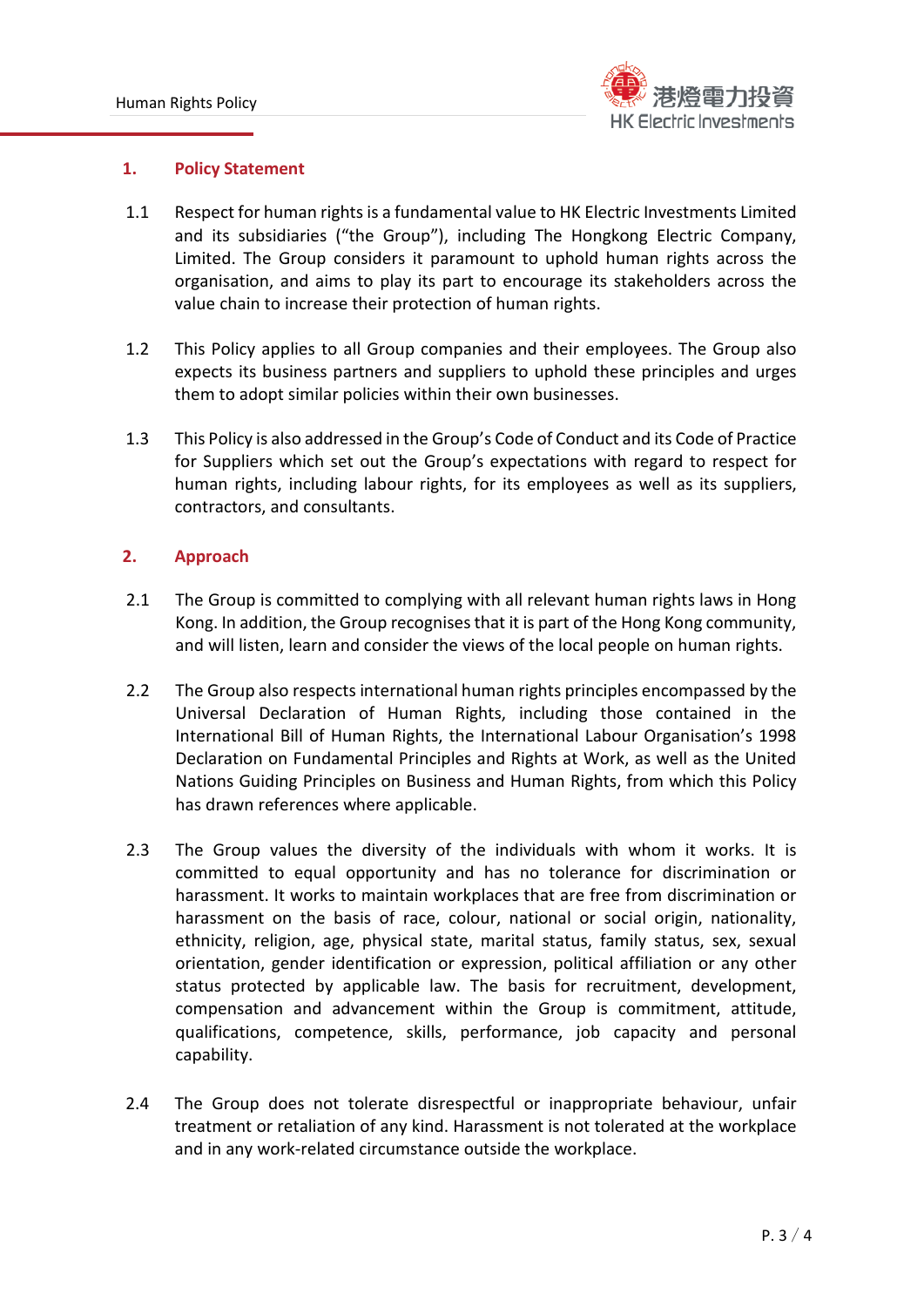

#### **1. Policy Statement**

- 1.1 Respect for human rights is a fundamental value to HK Electric Investments Limited and its subsidiaries ("the Group"), including The Hongkong Electric Company, Limited. The Group considers it paramount to uphold human rights across the organisation, and aims to play its part to encourage its stakeholders across the value chain to increase their protection of human rights.
- 1.2 This Policy applies to all Group companies and their employees. The Group also expects its business partners and suppliers to uphold these principles and urges them to adopt similar policies within their own businesses.
- 1.3 This Policy is also addressed in the Group's Code of Conduct and its Code of Practice for Suppliers which set out the Group's expectations with regard to respect for human rights, including labour rights, for its employees as well as its suppliers, contractors, and consultants.

## **2. Approach**

- 2.1 The Group is committed to complying with all relevant human rights laws in Hong Kong. In addition, the Group recognises that it is part of the Hong Kong community, and will listen, learn and consider the views of the local people on human rights.
- 2.2 The Group also respects international human rights principles encompassed by the Universal Declaration of Human Rights, including those contained in the International Bill of Human Rights, the International Labour Organisation's 1998 Declaration on Fundamental Principles and Rights at Work, as well as the United Nations Guiding Principles on Business and Human Rights, from which this Policy has drawn references where applicable.
- 2.3 The Group values the diversity of the individuals with whom it works. It is committed to equal opportunity and has no tolerance for discrimination or harassment. It works to maintain workplaces that are free from discrimination or harassment on the basis of race, colour, national or social origin, nationality, ethnicity, religion, age, physical state, marital status, family status, sex, sexual orientation, gender identification or expression, political affiliation or any other status protected by applicable law. The basis for recruitment, development, compensation and advancement within the Group is commitment, attitude, qualifications, competence, skills, performance, job capacity and personal capability.
- 2.4 The Group does not tolerate disrespectful or inappropriate behaviour, unfair treatment or retaliation of any kind. Harassment is not tolerated at the workplace and in any work-related circumstance outside the workplace.